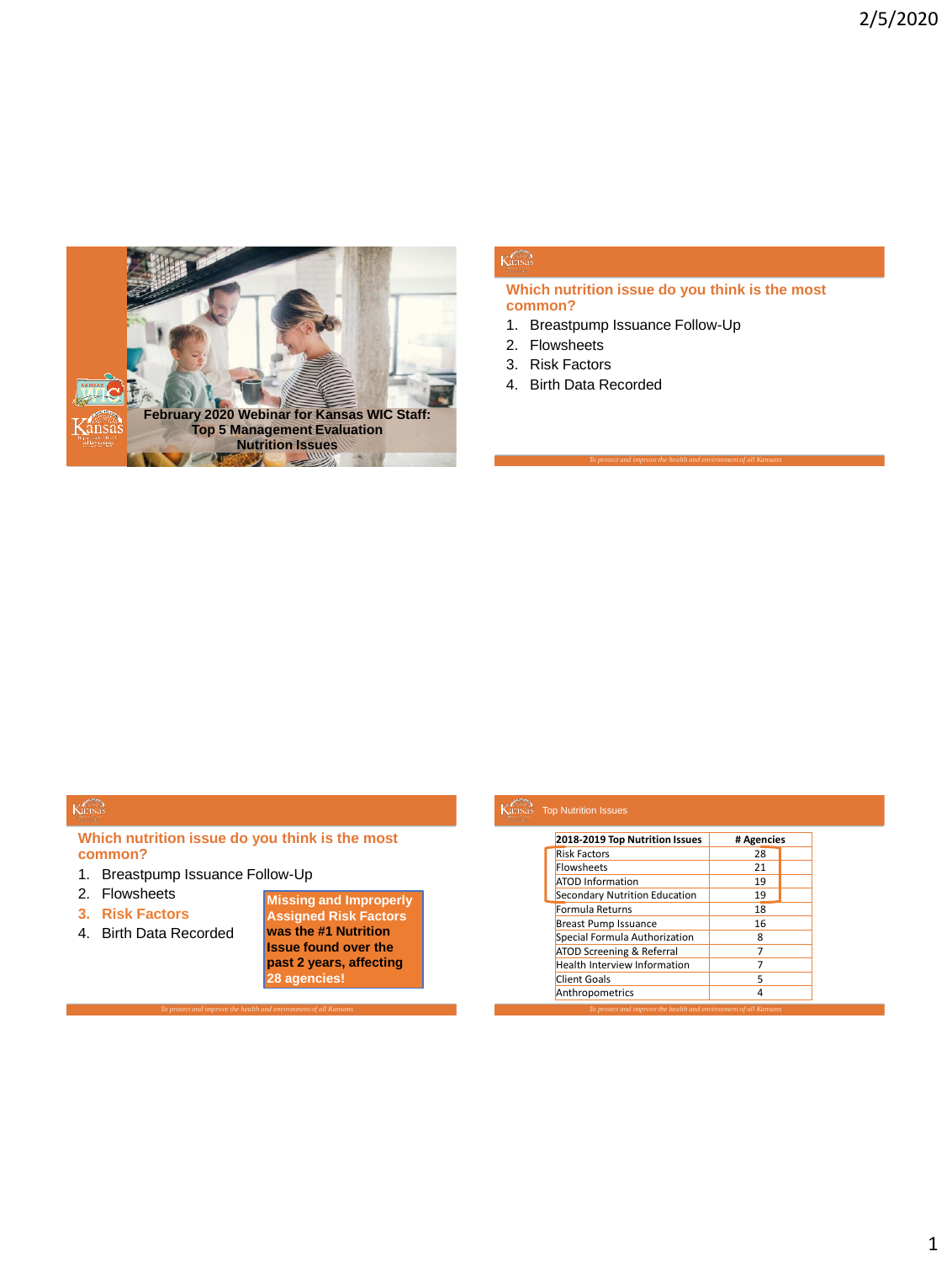

## $K$ ansas

## **Which nutrition issue do you think is the most common?**

- 1. Breastpump Issuance Follow-Up
- 2. Flowsheets
- 3. Risk Factors
- 4. Birth Data Recorded

## Kansas

**Which nutrition issue do you think is the most common?**

- 1. Breastpump Issuance Follow-Up
- 2. Flowsheets
- **3. Risk Factors**
- 4. Birth Data Recorded

**Missing and Improperly Assigned Risk Factors was the #1 Nutrition Issue found over the past 2 years, affecting 28 agencies!**

| 2018-2019 Top Nutrition Issues | # Agencies |
|--------------------------------|------------|
| <b>Risk Factors</b>            | 28         |
| <b>Flowsheets</b>              | 21         |
| <b>ATOD Information</b>        | 19         |
| Secondary Nutrition Education  | 19         |
| Formula Returns                | 18         |
| <b>Breast Pump Issuance</b>    | 16         |
| Special Formula Authorization  | 8          |
| ATOD Screening & Referral      | 7          |
| Health Interview Information   | 7          |
| Client Goals                   | 5          |
| Anthropometrics                | 4          |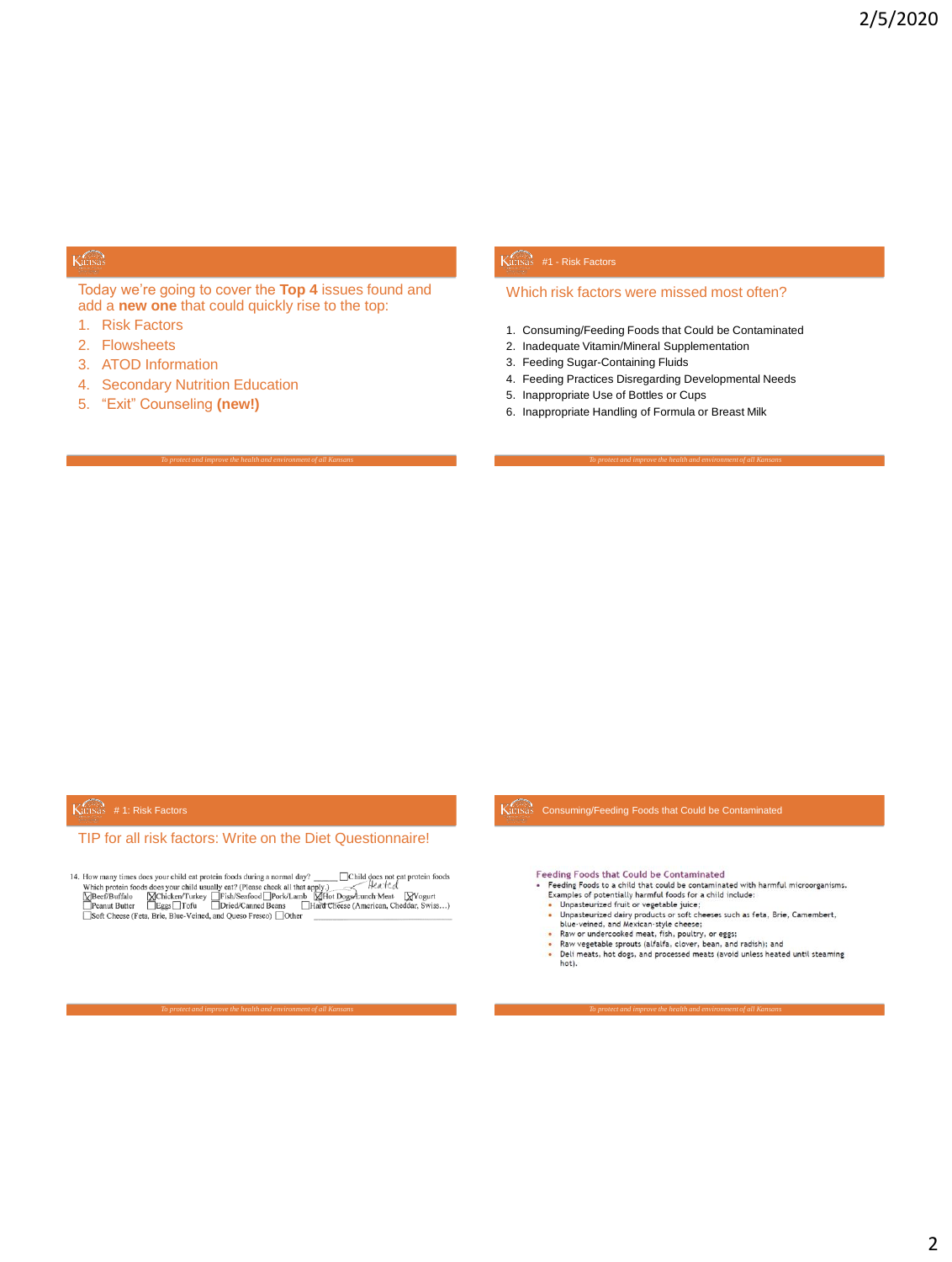## Kansas

Today we're going to cover the **Top 4** issues found and add a **new one** that could quickly rise to the top:

- 1. Risk Factors
- 2. Flowsheets
- 3. ATOD Information
- 4. Secondary Nutrition Education
- 5. "Exit" Counseling **(new!)**

## Kansas #1 - Risk Factors

## Which risk factors were missed most often?

- 1. Consuming/Feeding Foods that Could be Contaminated
- 2. Inadequate Vitamin/Mineral Supplementation
- 3. Feeding Sugar-Containing Fluids
- 4. Feeding Practices Disregarding Developmental Needs
- 5. Inappropriate Use of Bottles or Cups
- 6. Inappropriate Handling of Formula or Breast Milk

## $K$ ansas # 1: Risk Factors

## TIP for all risk factors: Write on the Diet Questionnaire!

14. How many times does your child eat protein foods during a normal day?<br>
Which protein foods does your child usually eat? (Please check all that apply.)<br>  $\frac{1}{2}$ <br>  $\frac{1}{2}$ <br>  $\frac{1}{2}$ <br>  $\frac{1}{2}$ <br>  $\frac{1}{2}$ <br>  $\frac{1}{2}$ <br>

Consuming/Feeding Foods that Could be Contaminated

Feeding Foods that Could be Contaminated

- Examples of a child that could be contaminated with harmful microorganisms.<br>
Examples of potentially harmful foods for a child include:<br>
 Unpasteurized fruit or vegetable juice;  $\ddot{\phantom{a}}$ 
	-
	- or<br>planetwisted dairy products or soft cheeses such as feta, Brie, Camembert,<br>blue-veined, and Mexican-style cheese;<br>Raw or undercooled meat, fish, poulty, or eggs;<br>Raw or undercooled meat, fish, poulty, or eggs;<br>Raw veget ٠
- t
- 
- Deli meats, hot dogs, and processed meats (avoid unless heated until steaming<br>hot). ÷,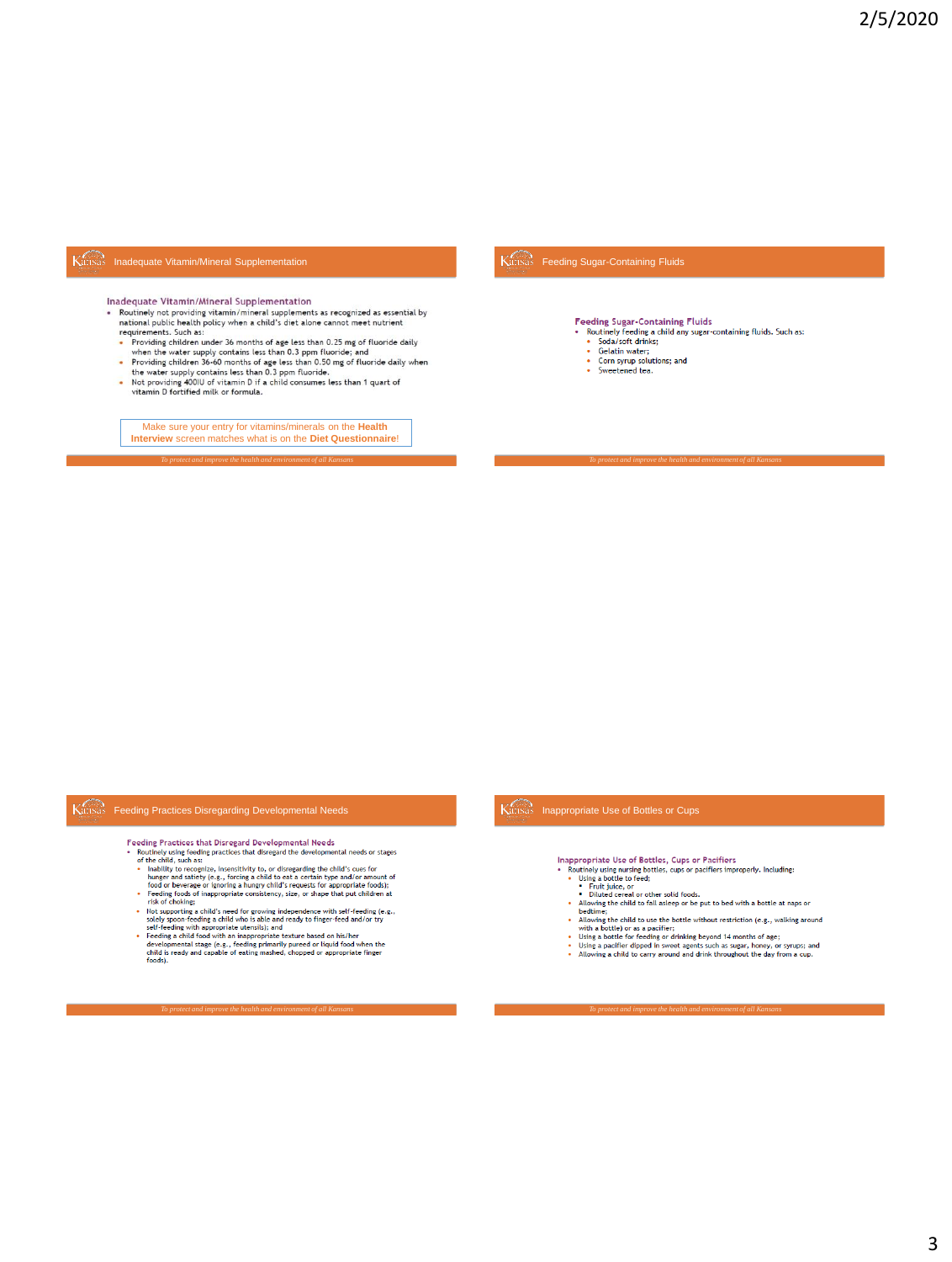## Kansas Inadequate Vitamin/Mineral Supplementation

Inadequate Vitamin/Mineral Supplementation

- Routinely not providing vitamin/mineral supplements as recognized as essential by national public health policy when a child's diet alone cannot meet nutrient requirements. Such as:<br>The providing children under 36 months of age less than 0.25 mg of fluoride daily<br>Providing children under 36 months of age less than 0.25 mg of fluoride daily
- 
- Provining emigree in under 36 months of age less than 0.25 mg of fluoride daily<br>• When the water supply contains less than 0.3 ppm fluoride; and<br>• Providing children 36-60 months of age less than 0.50 mg of fluoride dail
- 

Make sure your entry for vitamins/minerals on the Health<br>Interview screen matches what is on the Diet Questionnaire!

## Kansas Feeding Sugar-Containing Fluids

**Feeding Sugar-Containing Fluids** 

- Poutinely feeding a child any sugar-containing fluids. Such as:<br>• Soda/soft drinks;
	-
	- Gelatin water;
	- Corn syrup solutions; and<br>• Sweetened tea.
	-

## Kansas Feeding Practices Disregarding Developmental Needs

- Feeding Practices that Disregard Developmental Needs
	-
- recenting Practices that Disregard Developmental Needs<br>
recenting the electrometric energy of the disregard the developmental needs or stages<br>
of the child, such as:<br>
of the disregarding the child's cues for<br>
inability to
	-
	-
	-
- risk of choking;<br>
 Italy unoursely a subset of growing independence with staff edding (e.g.,<br>
 Italy upporting a child s' need for growing independence with staff-deding e.g.,<br>
self-yeding a child who is able and ready

Kansas Inappropriate Use of Bottles or Cups

Inappropriate Use of Bottles, Cups or Pacifiers

- reality principal costs of inductions, cups or radiities<br>• Routinely using nursing bottles, cups or pacifiers improperly. Including:<br>• Ising a bottle to feed;<br>• Trut juice, or<br>• Diluted cereal or other solid foods.
	-
	- ÷.
	- Allowing the child to fall asleep or be put to bed with a bottle at naps or bedtime;
- beddime;<br>
ediloming the child to use the bottle without restriction (e.g., walking around<br>
with a bottle) or as a pacifier;<br>
e Using a bottle for feeding or drinking beyond 14 months of age;<br>
e Using a pacifier dipped in s
- 
- 
-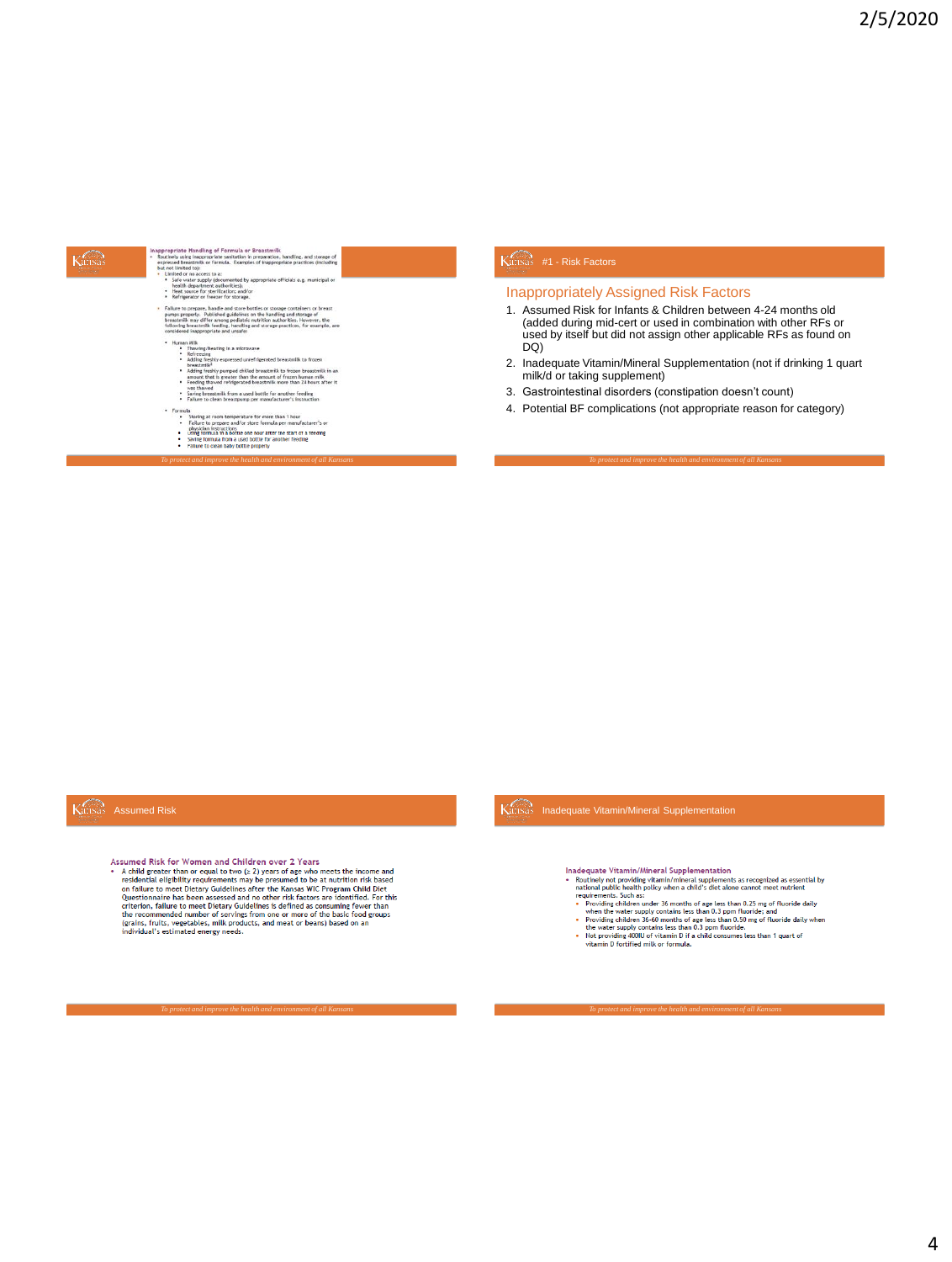## Kansas

- sprinte Handling of Formula or Breastmilk<br>
induction analysis and storage of the system of the compaction handling, and storage of<br>
cell induction (i.e., or formula: Example: of inappropriate practices (including<br>
induct
- · Heat s

appropri<br>Routinely

## - metroperator of treeser tor storage.<br>
Failure to prepare, handle and store bottles or storage containers or breast<br>
pumps properly. Published guidelines on the handling and storage of<br>
these transmittering the storage p

- 
- 
- function life<br>in the control of the control of the control of the control of the control of<br>the control of the control of the control of the control of the<br>state of the control of the control of the control of the control
- 
- 
- 
- 
- Formula<br>
Storing at room temperature for more than 1 hour<br>
Fairlier to prepare and/or store formula per manufacturer"s or<br>
physician instructions<br>
 Saving commun in a coctor one on arract the start or a recenne<br>
 Saving
- 

## $K$ ansas #1 - Risk Factors

*To protect and improve the health and environment of all Kansans To protect and improve the health and environment of all Kansans*

## Inappropriately Assigned Risk Factors

- 1. Assumed Risk for Infants & Children between 4-24 months old (added during mid-cert or used in combination with other RFs or used by itself but did not assign other applicable RFs as found on DQ)
- 2. Inadequate Vitamin/Mineral Supplementation (not if drinking 1 quart milk/d or taking supplement)
- 3. Gastrointestinal disorders (constipation doesn't count)
- 4. Potential BF complications (not appropriate reason for category)

## Kansas Assumed Risk

### Assumed Risk for Women and Children over 2 Years

stamed Risk for Women and Children over 2 Years<br>
A child greater than or equal to two ( $_2$ 2) years of age who meets the income and<br>
residential eligiblity requirements may be presumed to be at nutrition risk based<br>
on fa

## Inadequate Vitamin/Mineral Supplementation

- Inadequate Vitamin/Mineral Supplementation<br>• houting through the controlling vitamin/mineral supplements as recognized as essential by<br>a table being vitamin/mineral supplements as recognized as essential to<br>a table being
- 
- -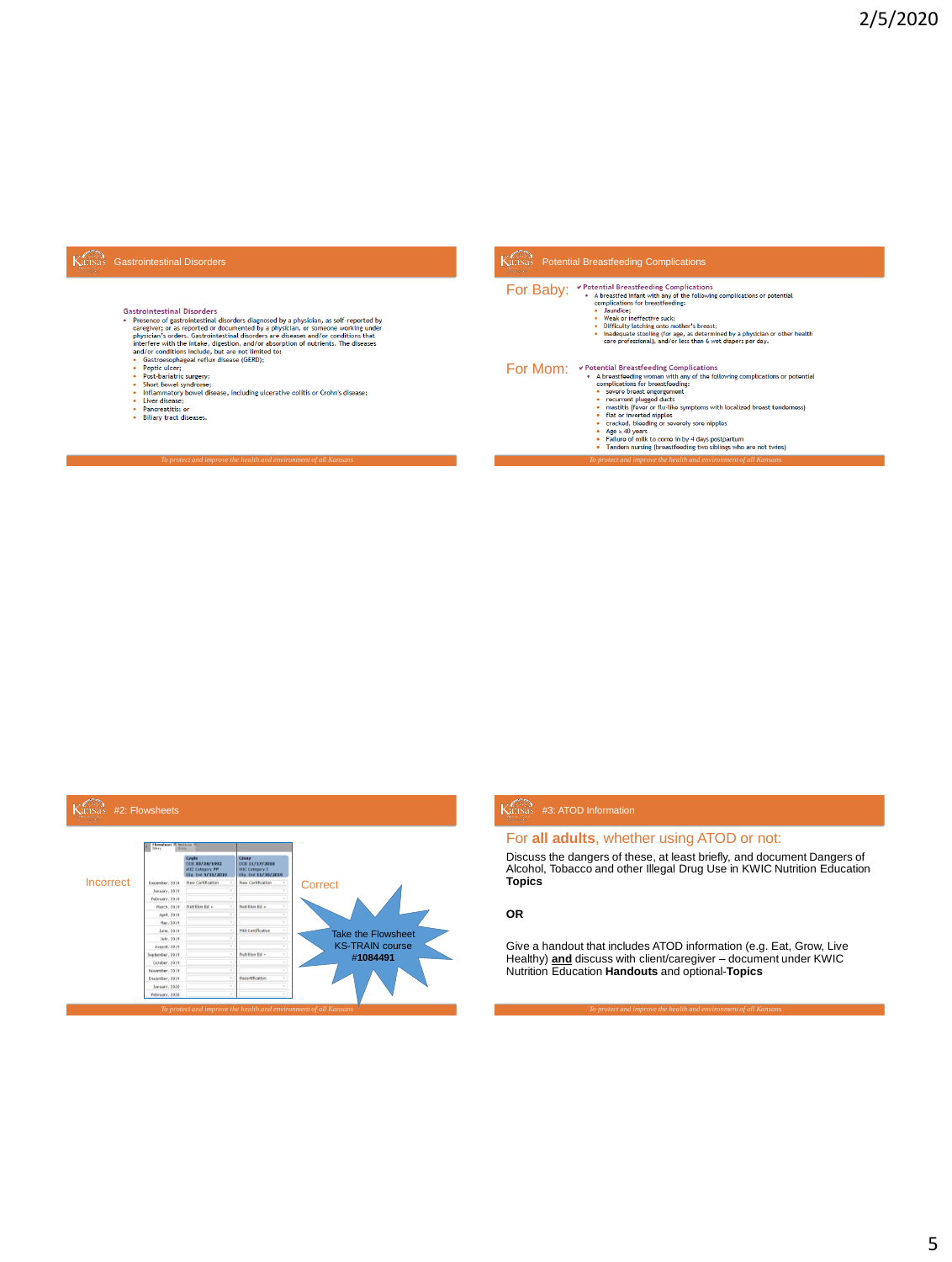## Kansas Gastrointestinal Disorders

- -
	-
	-
	-
	-
	-

## Potential Breastfeeding Complications

- **For Baby:** <br>  $\bullet$  Potential Breastfeeding Complications<br>  $\bullet$  Abreastfeed infant whitl any of the following complications or potential<br>  $\cdot$  Jaundice:<br>  $\cdot$  Weak or ineffective suck;<br>  $\cdot$  Weak or ineffective suck;<br>  $\cdot$ 
	-
	-
	-

# FOT MOM: <br>  $\bullet$  A proactional genoman with any of the following complications or potential<br>  $\bullet$  A broadtrodoing complexitions for breast<br>
complications for breast dending:<br>  $\bullet$  sowers breast engagement<br>  $\bullet$  meatits (for

- -
	-
	-
	-
	-
	- Age > 40 years<br>
	Failure of milk to come in by 4 days postpartum<br>
	Tandom nursing (breastfeeding two siblings who are not twins)



## Kansas #3: ATOD Information

For **all adults**, whether using ATOD or not:

Discuss the dangers of these, at least briefly, and document Dangers of Alcohol, Tobacco and other Illegal Drug Use in KWIC Nutrition Education **Topics** 

## **OR**

Give a handout that includes ATOD information (e.g. Eat, Grow, Live Healthy) **and** discuss with client/caregiver – document under KWIC Nutrition Education **Handouts** and optional-**Topics**